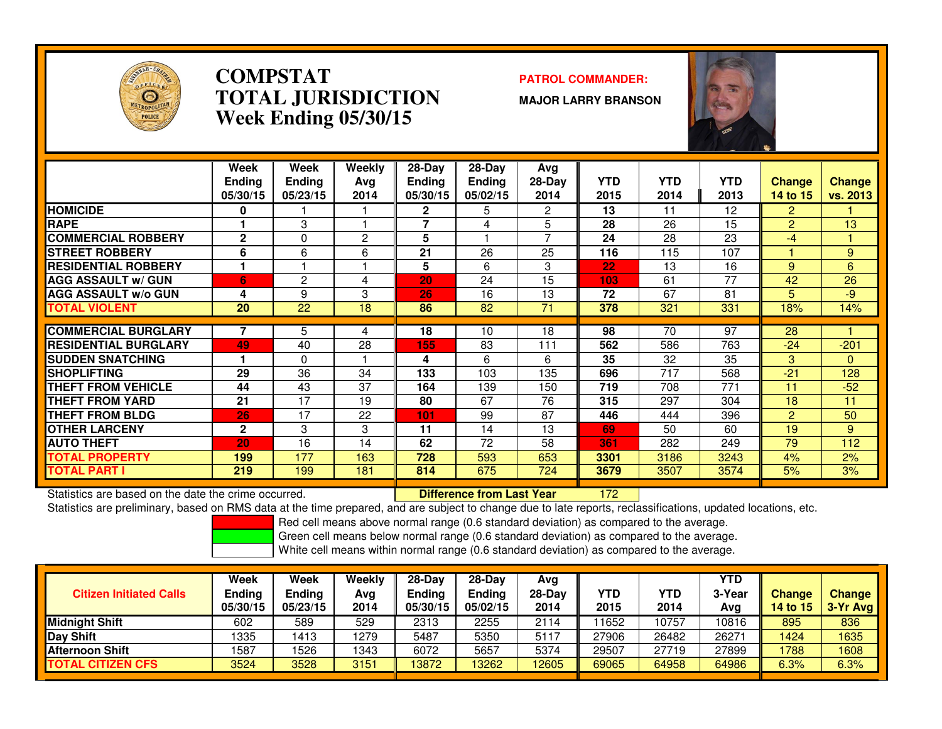

### **COMPSTATPATROL COMMANDER:**<br> **PATROL COMMANDER: TOTAL JURISDICTIONWeek Ending 05/30/15**

**MAJOR LARRY BRANSON**



|                              | Week<br><b>Ending</b><br>05/30/15 | Week<br><b>Ending</b><br>05/23/15 | Weekly<br>Ava<br>2014 | $28-Day$<br><b>Ending</b><br>05/30/15 | $28-Day$<br><b>Ending</b><br>05/02/15 | Avg<br>28-Day<br>2014    | <b>YTD</b><br>2015 | <b>YTD</b><br>2014 | <b>YTD</b><br>2013 | <b>Change</b><br>14 to 15 | <b>Change</b><br><b>vs. 2013</b> |
|------------------------------|-----------------------------------|-----------------------------------|-----------------------|---------------------------------------|---------------------------------------|--------------------------|--------------------|--------------------|--------------------|---------------------------|----------------------------------|
| <b>HOMICIDE</b>              | 0                                 |                                   |                       | $\mathbf{2}$                          | 5                                     | 2                        | 13                 | 11                 | 12                 | 2                         |                                  |
| <b>RAPE</b>                  |                                   | 3                                 |                       | 7                                     | 4                                     | 5                        | 28                 | 26                 | 15                 | $\overline{2}$            | 13                               |
| <b>COMMERCIAL ROBBERY</b>    | $\mathbf{2}$                      | $\Omega$                          | $\overline{2}$        | 5                                     |                                       | $\overline{\phantom{a}}$ | 24                 | 28                 | 23                 | $-4$                      |                                  |
| <b>STREET ROBBERY</b>        | 6                                 | 6                                 | 6                     | 21                                    | 26                                    | 25                       | 116                | 115                | 107                |                           | 9                                |
| <b>RESIDENTIAL ROBBERY</b>   |                                   |                                   |                       | 5                                     | 6                                     | 3                        | 22                 | 13                 | 16                 | 9                         | 6                                |
| <b>AGG ASSAULT w/ GUN</b>    | 6                                 | 2                                 | 4                     | 20                                    | 24                                    | 15                       | 103                | 61                 | 77                 | 42                        | 26                               |
| <b>AGG ASSAULT w/o GUN</b>   | 4                                 | 9                                 | 3                     | 26                                    | 16                                    | 13                       | 72                 | 67                 | 81                 | 5.                        | -9                               |
| <b>TOTAL VIOLENT</b>         | 20                                | 22                                | 18                    | 86                                    | 82                                    | 71                       | 378                | 321                | 331                | 18%                       | 14%                              |
|                              |                                   |                                   |                       |                                       |                                       |                          |                    |                    |                    |                           |                                  |
| <b>COMMERCIAL BURGLARY</b>   |                                   | 5                                 | 4                     | 18                                    | 10                                    | 18                       | 98                 | 70                 | 97                 | 28                        |                                  |
| <b>IRESIDENTIAL BURGLARY</b> | 49                                | 40                                | 28                    | 155                                   | 83                                    | 111                      | 562                | 586                | 763                | $-24$                     | $-201$                           |
| <b>SUDDEN SNATCHING</b>      |                                   | 0                                 |                       | 4                                     | 6                                     | 6                        | 35                 | 32                 | 35                 | 3                         | $\mathbf{0}$                     |
| <b>SHOPLIFTING</b>           | 29                                | 36                                | 34                    | 133                                   | 103                                   | 135                      | 696                | 717                | 568                | $-21$                     | 128                              |
| <b>THEFT FROM VEHICLE</b>    | 44                                | 43                                | 37                    | 164                                   | 139                                   | 150                      | 719                | 708                | 771                | 11                        | $-52$                            |
| <b>THEFT FROM YARD</b>       | 21                                | 17                                | 19                    | 80                                    | 67                                    | 76                       | 315                | 297                | 304                | 18                        | 11                               |
| <b>THEFT FROM BLDG</b>       | 26                                | 17                                | 22                    | 101                                   | 99                                    | 87                       | 446                | 444                | 396                | $\overline{2}$            | 50                               |
| <b>OTHER LARCENY</b>         | $\mathbf{2}$                      | 3                                 | 3                     | 11                                    | 14                                    | 13                       | 69                 | 50                 | 60                 | 19                        | 9                                |
| <b>AUTO THEFT</b>            | 20                                | 16                                | 14                    | 62                                    | 72                                    | 58                       | 361                | 282                | 249                | 79                        | 112                              |
| <b>TOTAL PROPERTY</b>        | 199                               | 177                               | 163                   | 728                                   | 593                                   | 653                      | 3301               | 3186               | 3243               | 4%                        | 2%                               |
| <b>TOTAL PART I</b>          | 219                               | 199                               | 181                   | 814                                   | 675                                   | 724                      | 3679               | 3507               | 3574               | 5%                        | 3%                               |

Statistics are based on the date the crime occurred. **Difference from Last Year** 

Statistics are based on the date the crime occurred. **[18] Letter Lubber 172 Letter are subject to change due to late reports, reclassifications, updated locations, etc.<br>Statistics are preliminary, based on RMS data at the** 

Red cell means above normal range (0.6 standard deviation) as compared to the average.

Green cell means below normal range (0.6 standard deviation) as compared to the average.

| <b>Citizen Initiated Calls</b> | Week<br><b>Ending</b><br>05/30/15 | <b>Week</b><br>Ending<br>05/23/15 | Weekly<br>Avg<br>2014 | $28 - Day$<br>Ending<br>05/30/15 | $28-Dav$<br>Ending<br>05/02/15 | Avg<br>$28-Day$<br>2014 | YTD<br>2015 | YTD<br>2014 | YTD<br>3-Year<br>Avg | <b>Change</b><br>14 to 15 | <b>Change</b><br>3-Yr Avg |
|--------------------------------|-----------------------------------|-----------------------------------|-----------------------|----------------------------------|--------------------------------|-------------------------|-------------|-------------|----------------------|---------------------------|---------------------------|
| Midnight Shift                 | 602                               | 589                               | 529                   | 2313                             | 2255                           | 2114                    | 11652       | 10757       | 10816                | 895                       | 836                       |
| Day Shift                      | 1335                              | 1413                              | 1279                  | 5487                             | 5350                           | 5117                    | 27906       | 26482       | 26271                | 1424                      | 1635                      |
| <b>Afternoon Shift</b>         | 1587                              | 1526                              | 1343                  | 6072                             | 5657                           | 5374                    | 29507       | 27719       | 27899                | 1788                      | 1608                      |
| <b>TOTAL CITIZEN CFS</b>       | 3524                              | 3528                              | 3151                  | 13872                            | 13262                          | 12605                   | 69065       | 64958       | 64986                | 6.3%                      | 6.3%                      |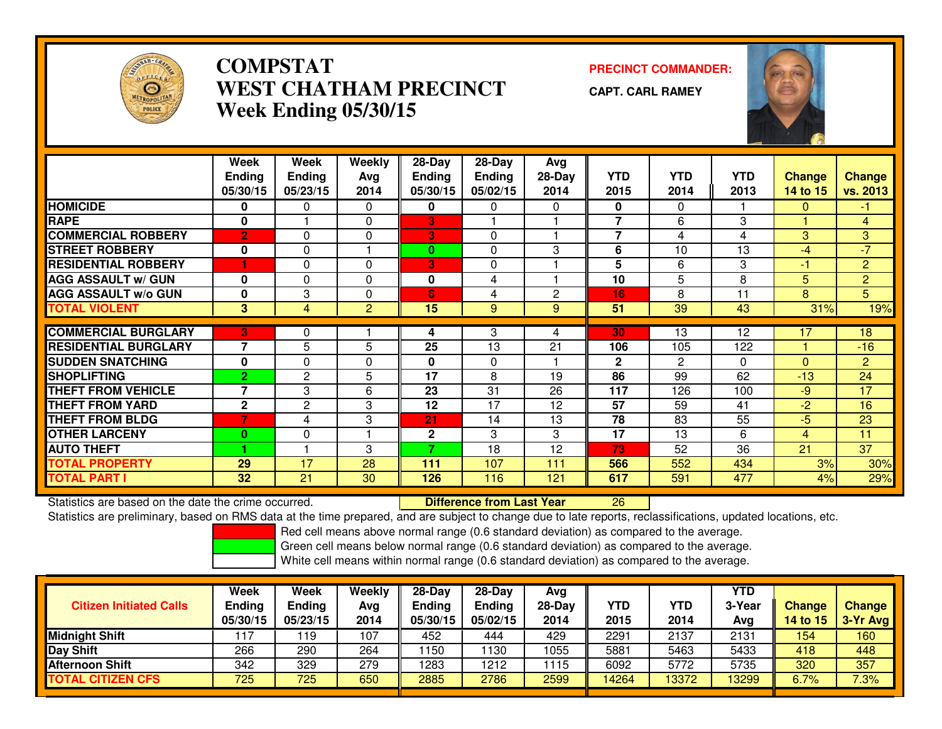

## **COMPSTAT PRECINCT COMMANDER: WEST CHATHAM PRECINCTWeek Ending 05/30/15**

**CAPT. CARL RAMEY**



|                             | Week<br><b>Ending</b><br>05/30/15 | Week<br><b>Endina</b><br>05/23/15 | Weekly<br>Avg<br>2014 | 28-Day<br><b>Endina</b><br>05/30/15 | $28$ -Day<br>Ending<br>05/02/15 | Avg<br>$28-Dav$<br>2014 | <b>YTD</b><br>2015 | <b>YTD</b><br>2014 | <b>YTD</b><br>2013 | <b>Change</b><br>14 to 15 | <b>Change</b><br>vs. 2013 |
|-----------------------------|-----------------------------------|-----------------------------------|-----------------------|-------------------------------------|---------------------------------|-------------------------|--------------------|--------------------|--------------------|---------------------------|---------------------------|
| <b>HOMICIDE</b>             | 0                                 | 0                                 | $\Omega$              | 0                                   | 0                               | 0                       | $\mathbf{0}$       | 0                  |                    | $\Omega$                  | -1                        |
| <b>RAPE</b>                 | 0                                 |                                   | $\Omega$              | 3                                   |                                 |                         |                    | 6                  | 3                  |                           | 4                         |
| <b>COMMERCIAL ROBBERY</b>   | $\overline{2}$                    | $\Omega$                          | $\Omega$              | 3                                   | $\Omega$                        |                         | 7                  | 4                  | 4                  | 3                         | $\overline{3}$            |
| <b>STREET ROBBERY</b>       | $\mathbf 0$                       | $\Omega$                          |                       | $\bf{0}$                            | $\Omega$                        | 3                       | 6                  | 10                 | 13                 | -4                        | $-7$                      |
| <b>RESIDENTIAL ROBBERY</b>  |                                   | $\Omega$                          | $\Omega$              | 3                                   | $\Omega$                        |                         | 5                  | 6                  | 3                  | $\blacksquare$            | $\overline{2}$            |
| <b>AGG ASSAULT w/ GUN</b>   | $\bf{0}$                          | 0                                 | 0                     | 0                                   | 4                               |                         | 10                 | 5                  | 8                  | 5                         | $\overline{2}$            |
| <b>AGG ASSAULT w/o GUN</b>  | 0                                 | 3                                 | $\Omega$              | 6                                   | 4                               | $\mathbf{2}$            | 16                 | 8                  | 11                 | 8                         | 5                         |
| <b>TOTAL VIOLENT</b>        | 3                                 | 4                                 | $\overline{2}$        | 15                                  | 9                               | 9                       | 51                 | 39                 | 43                 | 31%                       | 19%                       |
| <b>COMMERCIAL BURGLARY</b>  | 3                                 | 0                                 |                       | 4                                   | 3                               | 4                       | 30                 | 13                 | 12                 | 17                        | 18                        |
| <b>RESIDENTIAL BURGLARY</b> | 7                                 | 5                                 | 5                     | 25                                  | 13                              | 21                      | 106                | 105                | 122                |                           | $-16$                     |
| <b>SUDDEN SNATCHING</b>     | 0                                 | $\mathbf 0$                       | $\Omega$              | $\bf{0}$                            | $\mathbf{0}$                    |                         | $\mathbf{2}$       | 2                  | $\Omega$           | $\Omega$                  | $\overline{2}$            |
| <b>SHOPLIFTING</b>          | $\overline{2}$                    | $\mathbf{2}$                      | 5                     | 17                                  | 8                               | 19                      | 86                 | 99                 | 62                 | $-13$                     | 24                        |
| <b>THEFT FROM VEHICLE</b>   | 7                                 | 3                                 | 6                     | 23                                  | 31                              | 26                      | 117                | 126                | 100                | $-9$                      | 17                        |
| <b>THEFT FROM YARD</b>      | $\mathbf{2}$                      | $\mathbf{2}$                      | 3                     | 12                                  | 17                              | 12                      | 57                 | 59                 | 41                 | $-2$                      | 16                        |
| <b>THEFT FROM BLDG</b>      | 7                                 | 4                                 | 3                     | 21                                  | 14                              | 13                      | 78                 | 83                 | $\overline{55}$    | -5                        | 23                        |
| <b>OTHER LARCENY</b>        | $\bf{0}$                          | 0                                 |                       | $\mathbf{2}$                        | 3                               | 3                       | 17                 | 13                 | 6                  | 4                         | 11                        |
| <b>AUTO THEFT</b>           |                                   |                                   | 3                     | 7                                   | 18                              | 12                      | 73                 | 52                 | 36                 | 21                        | 37                        |
| <b>TOTAL PROPERTY</b>       | 29                                | 17                                | 28                    | 111                                 | 107                             | 111                     | 566                | 552                | 434                | 3%                        | 30%                       |
| <b>TOTAL PART I</b>         | 32                                | 21                                | 30                    | 126                                 | 116                             | 121                     | 617                | 591                | 477                | 4%                        | 29%                       |

Statistics are based on the date the crime occurred. **Difference from Last Year** 

Statistics are based on the date the crime occurred. The time prepared, and are subject to change due to late reports, reclassifications, updated locations, etc.<br>Statistics are preliminary, based on RMS data at the time pr

Red cell means above normal range (0.6 standard deviation) as compared to the average.

Green cell means below normal range (0.6 standard deviation) as compared to the average.

| <b>Citizen Initiated Calls</b> | Week<br><b>Ending</b><br>05/30/15 | <b>Week</b><br>Ending<br>05/23/15 | Weekly<br>Avg<br>2014 | $28-Dav$<br><b>Endina</b><br>05/30/15 | $28-Day$<br><b>Ending</b><br>05/02/15 | Avg<br>$28-Day$<br>2014 | YTD<br>2015 | YTD<br>2014 | YTD<br>3-Year<br>Avg | <b>Change</b><br><b>14 to 15</b> | <b>Change</b><br>3-Yr Avg |
|--------------------------------|-----------------------------------|-----------------------------------|-----------------------|---------------------------------------|---------------------------------------|-------------------------|-------------|-------------|----------------------|----------------------------------|---------------------------|
| <b>Midnight Shift</b>          |                                   | 19                                | 107                   | 452                                   | 444                                   | 429                     | 2291        | 2137        | 2131                 | 154                              | 160                       |
| <b>Day Shift</b>               | 266                               | 290                               | 264                   | 1150                                  | 130                                   | 1055                    | 5881        | 5463        | 5433                 | 418                              | 448                       |
| <b>Afternoon Shift</b>         | 342                               | 329                               | 279                   | 1283                                  | 1212                                  | 1115                    | 6092        | 5772        | 5735                 | 320                              | 357                       |
| <b>TOTAL CITIZEN CFS</b>       | 725                               | 725                               | 650                   | 2885                                  | 2786                                  | 2599                    | 14264       | 3372        | 13299                | 6.7%                             | 7.3%                      |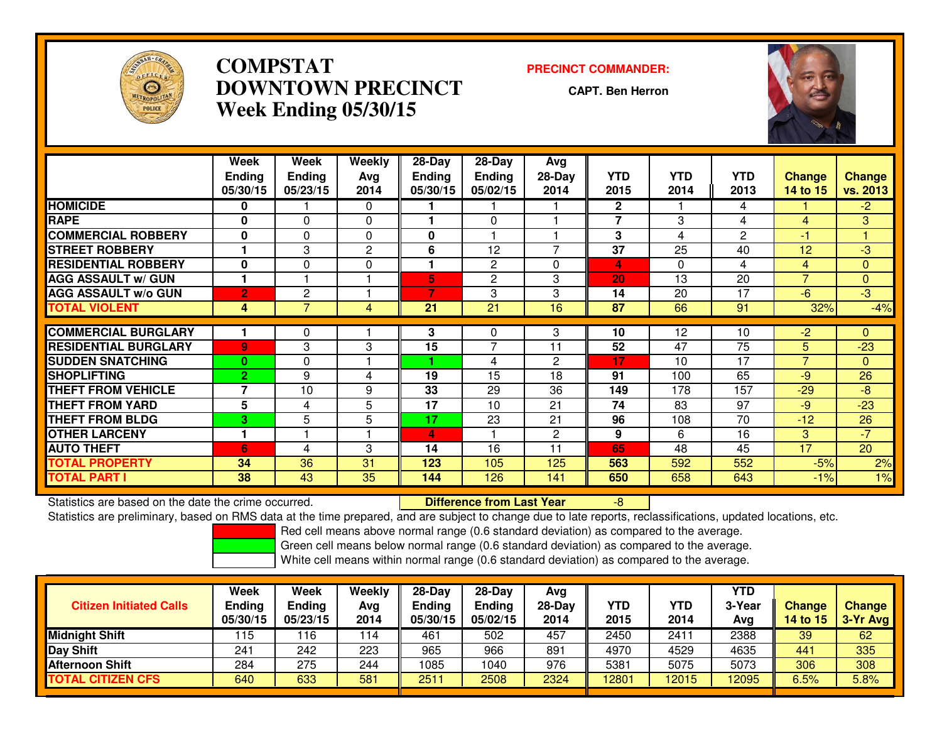

## **COMPSTAT PRECINCT COMMANDER: DOWNTOWN PRECINCTWeek Ending 05/30/15**

**CAPT. Ben Herron**



|                             | Week<br><b>Ending</b><br>05/30/15 | Week<br><b>Ending</b><br>05/23/15 | Weekly<br>Ava<br>2014 | 28-Day<br><b>Ending</b><br>05/30/15 | 28-Day<br><b>Ending</b><br>05/02/15 | Avg<br>28-Day<br>2014 | <b>YTD</b><br>2015      | <b>YTD</b><br>2014 | <b>YTD</b><br>2013 | <b>Change</b><br>14 to 15 | <b>Change</b><br>vs. 2013 |
|-----------------------------|-----------------------------------|-----------------------------------|-----------------------|-------------------------------------|-------------------------------------|-----------------------|-------------------------|--------------------|--------------------|---------------------------|---------------------------|
| <b>HOMICIDE</b>             | 0                                 |                                   | $\Omega$              |                                     |                                     |                       | $\mathbf{2}$            |                    | 4                  |                           | $-2$                      |
| <b>RAPE</b>                 | 0                                 | 0                                 | 0                     |                                     | $\Omega$                            |                       | $\overline{7}$          | 3                  | 4                  | 4                         | 3                         |
| <b>COMMERCIAL ROBBERY</b>   | 0                                 | $\Omega$                          | $\Omega$              | 0                                   |                                     |                       | 3                       | 4                  | 2                  | -1                        |                           |
| <b>STREET ROBBERY</b>       | ٠                                 | 3                                 | $\mathbf{2}$          | 6                                   | 12                                  | $\overline{ }$        | 37                      | 25                 | 40                 | 12                        | -3                        |
| <b>RESIDENTIAL ROBBERY</b>  | 0                                 | 0                                 | $\Omega$              |                                     | $\overline{2}$                      | $\Omega$              | $\overline{\mathbf{A}}$ | 0                  | 4                  | 4                         | $\Omega$                  |
| <b>AGG ASSAULT w/ GUN</b>   |                                   |                                   |                       | 5                                   | 2                                   | 3                     | 20                      | 13                 | 20                 | $\overline{ }$            | $\mathbf{0}$              |
| <b>AGG ASSAULT w/o GUN</b>  | $\overline{2}$                    | 2                                 |                       | 7                                   | 3                                   | 3                     | 14                      | 20                 | 17                 | $-6$                      | $-3$                      |
| <b>TOTAL VIOLENT</b>        | 4                                 | 7                                 | 4                     | 21                                  | 21                                  | 16                    | 87                      | 66                 | 91                 | 32%                       | $-4%$                     |
|                             |                                   |                                   |                       |                                     |                                     |                       |                         |                    |                    |                           |                           |
| <b>COMMERCIAL BURGLARY</b>  |                                   | 0                                 |                       | 3                                   | $\Omega$                            | 3                     | 10                      | 12                 | 10                 | $-2$                      | $\Omega$                  |
| <b>RESIDENTIAL BURGLARY</b> | 9                                 | 3                                 | 3                     | 15                                  | 7                                   | 11                    | 52                      | 47                 | $\overline{75}$    | 5                         | $-23$                     |
| <b>SUDDEN SNATCHING</b>     | $\mathbf{0}$                      | $\Omega$                          |                       |                                     | 4                                   | $\mathbf{2}$          | 17                      | 10                 | 17                 | $\overline{7}$            | $\mathbf{0}$              |
| <b>SHOPLIFTING</b>          | $\mathbf{2}$                      | 9                                 | 4                     | 19                                  | 15                                  | 18                    | 91                      | 100                | 65                 | -9                        | 26                        |
| <b>THEFT FROM VEHICLE</b>   | 7                                 | 10                                | 9                     | 33                                  | 29                                  | 36                    | 149                     | 178                | 157                | $-29$                     | $-8$                      |
| <b>THEFT FROM YARD</b>      | 5                                 | 4                                 | 5                     | 17                                  | 10                                  | 21                    | 74                      | 83                 | 97                 | $-9$                      | $-23$                     |
| <b>THEFT FROM BLDG</b>      | 3                                 | 5                                 | 5                     | 17                                  | 23                                  | 21                    | 96                      | 108                | $\overline{70}$    | $-12$                     | 26                        |
| <b>OTHER LARCENY</b>        | 1                                 |                                   |                       | 4                                   |                                     | $\mathbf{2}$          | 9                       | 6                  | 16                 | 3                         | $-7$                      |
| <b>AUTO THEFT</b>           | $6\phantom{1}$                    | 4                                 | 3                     | 14                                  | 16                                  | 11                    | 65                      | 48                 | 45                 | 17                        | 20                        |
| TOTAL PROPERTY              | 34                                | 36                                | 31                    | 123                                 | 105                                 | 125                   | 563                     | 592                | 552                | $-5%$                     | 2%                        |
| <b>TOTAL PART I</b>         | 38                                | 43                                | 35                    | 144                                 | 126                                 | 141                   | 650                     | 658                | 643                | $-1%$                     | 1%                        |

Statistics are based on the date the crime occurred. **Difference from Last Year** 

Statistics are based on the date the crime occurred.<br>Statistics are preliminary, based on RMS data at the time prepared, and are subject to change due to late reports, reclassifications, updated locations, etc.

Red cell means above normal range (0.6 standard deviation) as compared to the average.

Green cell means below normal range (0.6 standard deviation) as compared to the average.

| <b>Citizen Initiated Calls</b> | Week<br><b>Ending</b><br>05/30/15 | Week<br><b>Ending</b><br>05/23/15 | Weekly<br>Avg<br>2014 | 28-Day<br><b>Ending</b><br>05/30/15 | 28-Day<br><b>Ending</b><br>05/02/15 | Avg<br>$28-Day$<br>2014 | YTD<br>2015 | YTD<br>2014 | <b>YTD</b><br>3-Year<br>Avg | <b>Change</b><br><b>14 to 15</b> | <b>Change</b><br>$3-Yr$ Avg |
|--------------------------------|-----------------------------------|-----------------------------------|-----------------------|-------------------------------------|-------------------------------------|-------------------------|-------------|-------------|-----------------------------|----------------------------------|-----------------------------|
| Midnight Shift                 | 115                               | 16                                | 114                   | 461                                 | 502                                 | 457                     | 2450        | 2411        | 2388                        | 39                               | 62                          |
| Day Shift                      | 241                               | 242                               | 223                   | 965                                 | 966                                 | 891                     | 4970        | 4529        | 4635                        | 441                              | 335                         |
| <b>Afternoon Shift</b>         | 284                               | 275                               | 244                   | 1085                                | 1040                                | 976                     | 5381        | 5075        | 5073                        | 306                              | 308                         |
| <b>TOTAL CITIZEN CFS</b>       | 640                               | 633                               | 581                   | 2511                                | 2508                                | 2324                    | 12801       | 2015        | 12095                       | 6.5%                             | 5.8%                        |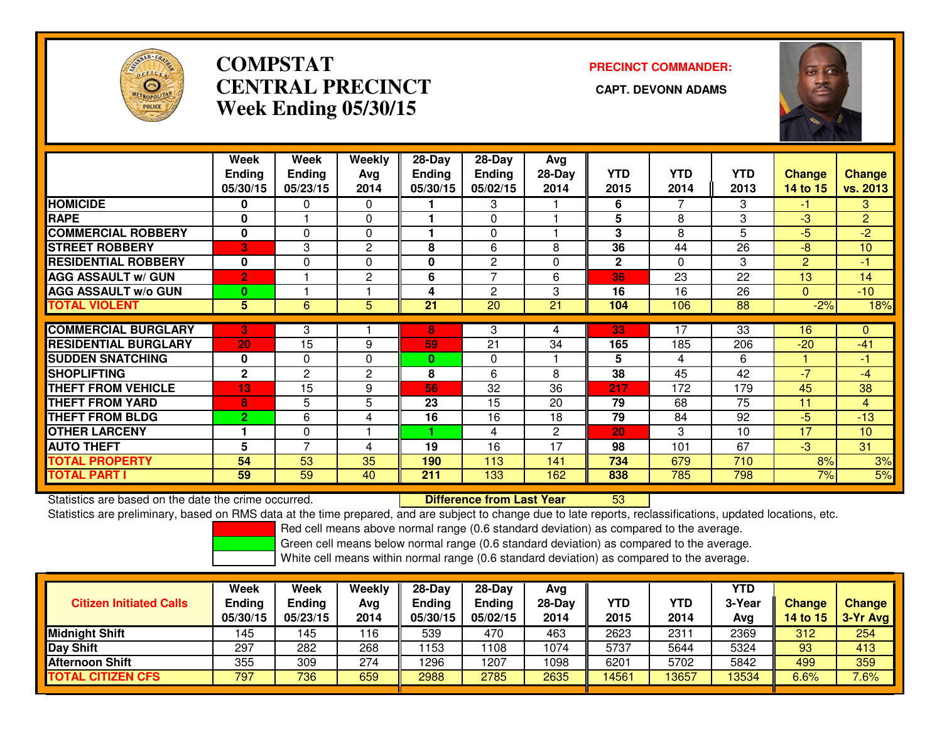

## **COMPSTATCENTRAL PRECINCT Week Ending 05/30/15**

# **PRECINCT COMMANDER:**



|                             | Week           | Week          | Weekly       | $28-Day$      | 28-Day         | Avg      |              |            |            |                |                |
|-----------------------------|----------------|---------------|--------------|---------------|----------------|----------|--------------|------------|------------|----------------|----------------|
|                             | <b>Ending</b>  | <b>Ending</b> | Avg          | <b>Ending</b> | <b>Ending</b>  | $28-Day$ | <b>YTD</b>   | <b>YTD</b> | <b>YTD</b> | <b>Change</b>  | <b>Change</b>  |
|                             | 05/30/15       | 05/23/15      | 2014         | 05/30/15      | 05/02/15       | 2014     | 2015         | 2014       | 2013       | 14 to 15       | vs. 2013       |
| <b>HOMICIDE</b>             | $\bf{0}$       | 0             | $\Omega$     |               | 3              |          | 6            |            | 3          | -1             | 3              |
| <b>RAPE</b>                 | 0              |               | 0            |               | $\Omega$       |          | 5            | 8          | 3          | -3             | $\overline{2}$ |
| <b>COMMERCIAL ROBBERY</b>   | $\mathbf{0}$   | 0             | $\Omega$     |               | $\Omega$       |          | 3            | 8          | 5          | $-5$           | $-2$           |
| <b>STREET ROBBERY</b>       | 3              | 3             | $\mathbf{2}$ | 8             | 6              | 8        | 36           | 44         | 26         | $-8$           | 10             |
| <b>RESIDENTIAL ROBBERY</b>  | $\bf{0}$       | $\Omega$      | $\Omega$     | 0             | $\overline{c}$ | $\Omega$ | $\mathbf{2}$ | 0          | 3          | $\overline{2}$ | -1             |
| <b>AGG ASSAULT w/ GUN</b>   | $\overline{2}$ |               | $\mathbf{2}$ | 6             | 7              | 6        | 36           | 23         | 22         | 13             | 14             |
| <b>AGG ASSAULT w/o GUN</b>  | $\mathbf{0}$   |               |              | 4             | $\overline{c}$ | 3        | 16           | 16         | 26         | 0              | $-10$          |
| <b>TOTAL VIOLENT</b>        | 5              | 6             | 5            | 21            | 20             | 21       | 104          | 106        | 88         | $-2%$          | 18%            |
|                             |                |               |              |               |                |          |              |            |            |                |                |
| <b>COMMERCIAL BURGLARY</b>  | B              | 3             |              | 8             | 3              | 4        | 33           | 17         | 33         | 16             | $\mathbf{0}$   |
| <b>RESIDENTIAL BURGLARY</b> | 20             | 15            | 9            | 59            | 21             | 34       | 165          | 185        | 206        | $-20$          | $-41$          |
| <b>SUDDEN SNATCHING</b>     | $\mathbf{0}$   | 0             | $\Omega$     | $\bf{0}$      | 0              |          | 5            | 4          | 6          |                | -1             |
| <b>SHOPLIFTING</b>          | $\mathbf{2}$   | $\mathbf{2}$  | $\mathbf{2}$ | 8             | 6              | 8        | 38           | 45         | 42         | $-7$           | $-4$           |
| <b>THEFT FROM VEHICLE</b>   | 13             | 15            | 9            | 56            | 32             | 36       | 217          | 172        | 179        | 45             | 38             |
| <b>THEFT FROM YARD</b>      | 8              | 5             | 5            | 23            | 15             | 20       | 79           | 68         | 75         | 11             | $\overline{4}$ |
| <b>THEFT FROM BLDG</b>      | $\overline{2}$ | 6             | 4            | 16            | 16             | 18       | 79           | 84         | 92         | $-5$           | $-13$          |
| <b>OTHER LARCENY</b>        |                | $\Omega$      |              |               | 4              | 2        | 20           | 3          | 10         | 17             | 10             |
| <b>AUTO THEFT</b>           | 5              | 7             | 4            | 19            | 16             | 17       | 98           | 101        | 67         | $-3$           | 31             |
| <b>TOTAL PROPERTY</b>       | 54             | 53            | 35           | 190           | 113            | 141      | 734          | 679        | 710        | 8%             | 3%             |
| <b>TOTAL PART I</b>         | 59             | 59            | 40           | 211           | 133            | 162      | 838          | 785        | 798        | 7%             | 5%             |

Statistics are based on the date the crime occurred. **Difference from Last Year** 

<sup>53</sup>

Statistics are preliminary, based on RMS data at the time prepared, and are subject to change due to late reports, reclassifications, updated locations, etc.

Red cell means above normal range (0.6 standard deviation) as compared to the average.

Green cell means below normal range (0.6 standard deviation) as compared to the average.

| <b>Citizen Initiated Calls</b> | Week<br>Ending<br>05/30/15 | <b>Week</b><br>Ending<br>05/23/15 | Weekly<br>Avg<br>2014 | 28-Day<br>Endina<br>05/30/15 | $28-Day$<br><b>Ending</b><br>05/02/15 | Avg<br>28-Day<br>2014 | YTD<br>2015 | <b>YTD</b><br>2014 | YTD<br>3-Year<br>Avg | <b>Change</b><br>14 to 15 | <b>Change</b><br>$3-Yr$ Avg |
|--------------------------------|----------------------------|-----------------------------------|-----------------------|------------------------------|---------------------------------------|-----------------------|-------------|--------------------|----------------------|---------------------------|-----------------------------|
| Midnight Shift                 | 145                        | .45                               | 116                   | 539                          | 470                                   | 463                   | 2623        | 2311               | 2369                 | 312                       | 254                         |
| Day Shift                      | 297                        | 282                               | 268                   | 1153                         | 108                                   | 1074                  | 5737        | 5644               | 5324                 | 93                        | 413                         |
| <b>Afternoon Shift</b>         | 355                        | 309                               | 274                   | 1296                         | 1207                                  | 1098                  | 6201        | 5702               | 5842                 | 499                       | 359                         |
| <b>TOTAL CITIZEN CFS</b>       | 797                        | 736                               | 659                   | 2988                         | 2785                                  | 2635                  | 14561       | 3657               | 13534                | 6.6%                      | 7.6%                        |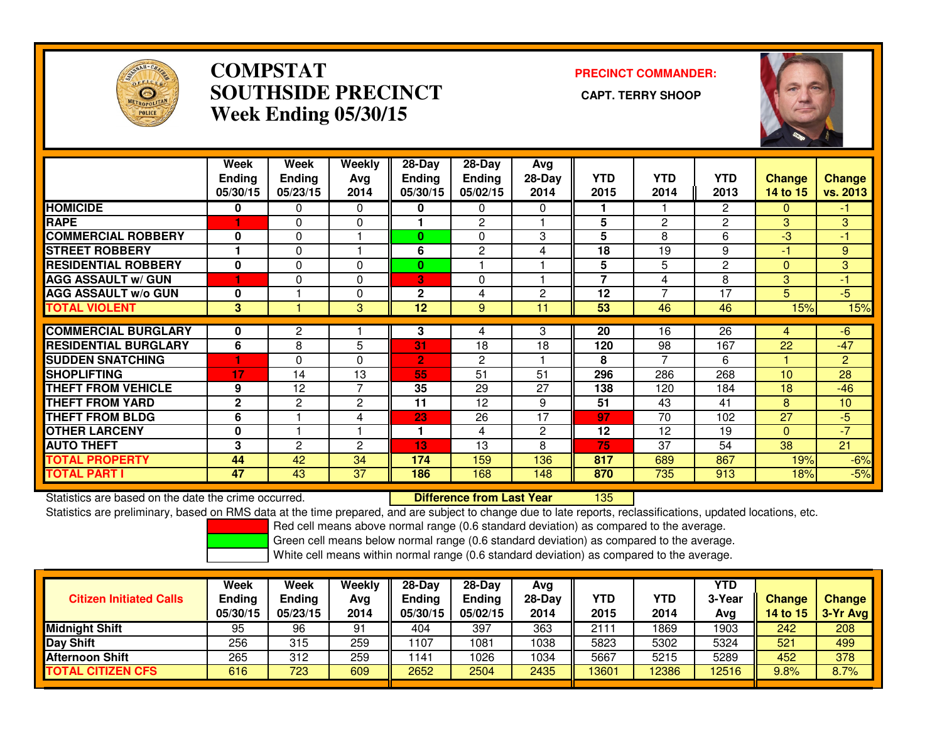

## **COMPSTAT PRECINCT COMMANDER: SOUTHSIDE PRECINCT CAPT. TERRY SHOOPWeek Ending 05/30/15**



|                             | Week<br><b>Ending</b><br>05/30/15 | Week<br><b>Ending</b><br>05/23/15 | Weekly<br>Avg<br>2014 | $28 - Day$<br><b>Ending</b><br>05/30/15 | $28 - Day$<br><b>Ending</b><br>05/02/15 | Avg<br>$28-Day$<br>2014 | <b>YTD</b><br>2015 | <b>YTD</b><br>2014 | <b>YTD</b><br>2013 | <b>Change</b><br>14 to 15 | <b>Change</b><br>vs. 2013 |
|-----------------------------|-----------------------------------|-----------------------------------|-----------------------|-----------------------------------------|-----------------------------------------|-------------------------|--------------------|--------------------|--------------------|---------------------------|---------------------------|
| <b>HOMICIDE</b>             | 0                                 | 0                                 | 0                     | 0                                       | 0                                       | 0                       | 1                  |                    | 2                  | 0                         | -1                        |
| <b>RAPE</b>                 |                                   | $\mathbf{0}$                      | 0                     |                                         | $\overline{2}$                          |                         | 5                  | $\overline{2}$     | $\overline{2}$     | 3                         | 3                         |
| <b>COMMERCIAL ROBBERY</b>   | $\mathbf{0}$                      | $\Omega$                          |                       | $\bf{0}$                                | $\Omega$                                | 3                       | 5                  | 8                  | 6                  | -3                        | $-1$                      |
| <b>STREET ROBBERY</b>       |                                   | $\mathbf 0$                       |                       | 6                                       | $\overline{2}$                          | 4                       | 18                 | 19                 | 9                  | -1                        | 9                         |
| <b>RESIDENTIAL ROBBERY</b>  | $\bf{0}$                          | $\mathbf{0}$                      | $\Omega$              | $\bf{0}$                                |                                         |                         | 5                  | 5                  | 2                  | $\Omega$                  | 3                         |
| <b>AGG ASSAULT w/ GUN</b>   |                                   | $\Omega$                          | $\Omega$              | 3                                       | $\Omega$                                |                         | 7                  | 4                  | 8                  | 3                         | -1                        |
| <b>AGG ASSAULT w/o GUN</b>  | $\bf{0}$                          |                                   | $\Omega$              | $\mathbf{2}$                            | 4                                       | 2                       | 12                 | 7                  | 17                 | 5                         | $-5$                      |
| <b>TOTAL VIOLENT</b>        | 3                                 |                                   | 3                     | 12                                      | 9                                       | 11                      | 53                 | 46                 | 46                 | 15%                       | 15%                       |
|                             |                                   |                                   |                       |                                         |                                         |                         |                    |                    |                    |                           |                           |
| <b>COMMERCIAL BURGLARY</b>  | $\bf{0}$                          | $\overline{2}$                    |                       | 3                                       | 4                                       | 3                       | 20                 | 16                 | 26                 | 4                         | $-6$                      |
| <b>RESIDENTIAL BURGLARY</b> | 6                                 | 8                                 | 5                     | $\overline{31}$                         | 18                                      | 18                      | 120                | 98                 | 167                | 22                        | $-47$                     |
| <b>SUDDEN SNATCHING</b>     |                                   | $\Omega$                          | $\Omega$              | $\overline{2}$                          | 2                                       |                         | 8                  | 7                  | 6                  |                           | $\overline{2}$            |
| <b>SHOPLIFTING</b>          | 17                                | 14                                | 13                    | 55                                      | 51                                      | 51                      | 296                | 286                | 268                | 10                        | 28                        |
| THEFT FROM VEHICLE          | 9                                 | 12                                | $\overline{7}$        | 35                                      | 29                                      | 27                      | 138                | 120                | 184                | 18                        | $-46$                     |
| <b>THEFT FROM YARD</b>      | $\mathbf{2}$                      | $\overline{2}$                    | $\overline{2}$        | 11                                      | 12                                      | 9                       | 51                 | 43                 | 41                 | 8                         | 10                        |
| <b>THEFT FROM BLDG</b>      | 6                                 |                                   | 4                     | 23                                      | 26                                      | 17                      | 97                 | 70                 | 102                | 27                        | $-5$                      |
| <b>OTHER LARCENY</b>        | $\bf{0}$                          |                                   |                       | 1                                       | 4                                       | 2                       | 12                 | 12                 | 19                 | $\Omega$                  | $\overline{7}$            |
| <b>AUTO THEFT</b>           | 3                                 | $\overline{2}$                    | $\overline{2}$        | 13                                      | 13                                      | 8                       | 75                 | 37                 | 54                 | 38                        | 21                        |
| <b>TOTAL PROPERTY</b>       | 44                                | 42                                | 34                    | 174                                     | 159                                     | 136                     | 817                | 689                | 867                | 19%                       | $-6%$                     |
| <b>TOTAL PART I</b>         | 47                                | 43                                | 37                    | 186                                     | 168                                     | 148                     | 870                | 735                | 913                | 18%                       | $-5%$                     |

Statistics are based on the date the crime occurred. **Difference from Last Year** <sup>135</sup>

Statistics are preliminary, based on RMS data at the time prepared, and are subject to change due to late reports, reclassifications, updated locations, etc.

Red cell means above normal range (0.6 standard deviation) as compared to the average.

Green cell means below normal range (0.6 standard deviation) as compared to the average.

| <b>Citizen Initiated Calls</b> | Week<br><b>Ending</b><br>05/30/15 | <b>Week</b><br>Ending<br>05/23/15 | Weekly<br>Avg<br>2014 | $28-Day$<br>Ending<br>05/30/15 | $28$ -Dav<br><b>Ending</b><br>05/02/15 | Ava<br>$28-Day$<br>2014 | YTD<br>2015 | YTD<br>2014 | YTD<br>3-Year<br>Avg | <b>Change</b><br>14 to 15 | <b>Change</b><br>3-Yr Avg |
|--------------------------------|-----------------------------------|-----------------------------------|-----------------------|--------------------------------|----------------------------------------|-------------------------|-------------|-------------|----------------------|---------------------------|---------------------------|
| <b>Midnight Shift</b>          | 95                                | 96                                | 91                    | 404                            | 397                                    | 363                     | 2111        | 1869        | 1903                 | 242                       | 208                       |
| Day Shift                      | 256                               | 315                               | 259                   | 1107                           | 1081                                   | 1038                    | 5823        | 5302        | 5324                 | 521                       | 499                       |
| <b>Afternoon Shift</b>         | 265                               | 312                               | 259                   | 1141                           | 1026                                   | 1034                    | 5667        | 5215        | 5289                 | 452                       | 378                       |
| <b>TOTAL CITIZEN CFS</b>       | 616                               | 723                               | 609                   | 2652                           | 2504                                   | 2435                    | 13601       | 2386        | 12516                | 9.8%                      | 8.7%                      |